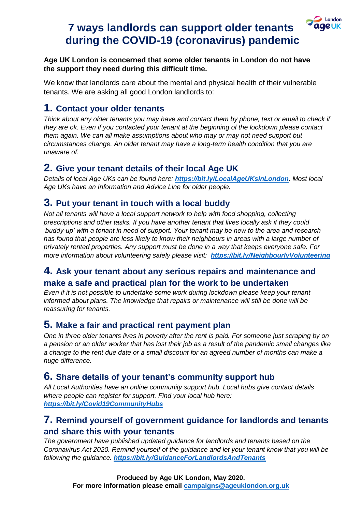#### London **ageuk**

# **7 ways landlords can support older tenants during the COVID-19 (coronavirus) pandemic**

#### **Age UK London is concerned that some older tenants in London do not have the support they need during this difficult time.**

We know that landlords care about the mental and physical health of their vulnerable tenants. We are asking all good London landlords to:

## **1. Contact your older tenants**

*Think about any older tenants you may have and contact them by phone, text or email to check if they are ok. Even if you contacted your tenant at the beginning of the lockdown please contact them again. We can all make assumptions about who may or may not need support but circumstances change. An older tenant may have a long-term health condition that you are unaware of.*

### **2. Give your tenant details of their local Age UK**

*Details of local Age UKs can be found here: <https://bit.ly/LocalAgeUKsInLondon>. Most local Age UKs have an Information and Advice Line for older people.*

### **3. Put your tenant in touch with a local buddy**

*Not all tenants will have a local support network to help with food shopping, collecting prescriptions and other tasks. If you have another tenant that lives locally ask if they could 'buddy-up' with a tenant in need of support. Your tenant may be new to the area and research has found that people are less likely to know their neighbours in areas with a large number of privately rented properties. Any support must be done in a way that keeps everyone safe. For more information about volunteering safely please visit: <https://bit.ly/NeighbourlyVolunteering>*

#### **4. Ask your tenant about any serious repairs and maintenance and make a safe and practical plan for the work to be undertaken**

*Even if it is not possible to undertake some work during lockdown please keep your tenant informed about plans. The knowledge that repairs or maintenance will still be done will be reassuring for tenants.*

## **5. Make a fair and practical rent payment plan**

*One in three older tenants lives in poverty after the rent is paid. For someone just scraping by on a pension or an older worker that has lost their job as a result of the pandemic small changes like a change to the rent due date or a small discount for an agreed number of months can make a huge difference.*

#### **6. Share details of your tenant's community support hub**

*All Local Authorities have an online community support hub. Local hubs give contact details where people can register for support. Find your local hub here: <https://bit.ly/Covid19CommunityHubs>*

#### **7. Remind yourself of government guidance for landlords and tenants and share this with your tenants**

*The government have published updated guidance for landlords and tenants based on the Coronavirus Act 2020. Remind yourself of the guidance and let your tenant know that you will be following the guidance. <https://bit.ly/GuidanceForLandlordsAndTenants>*